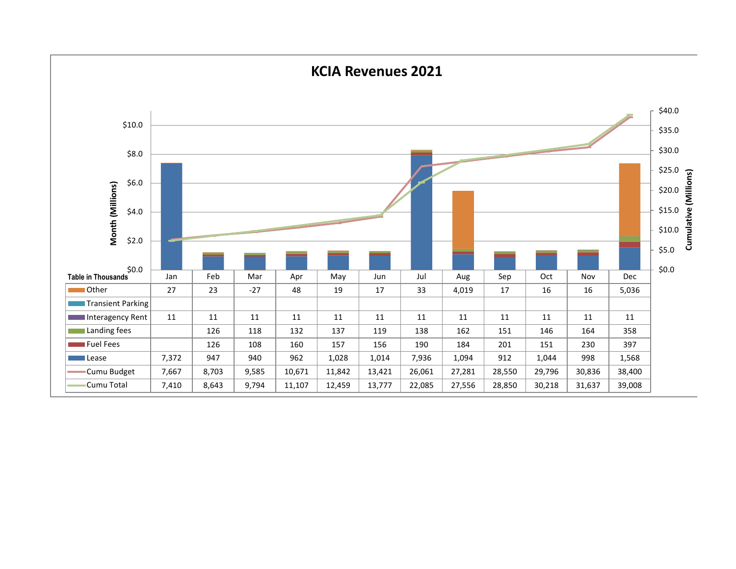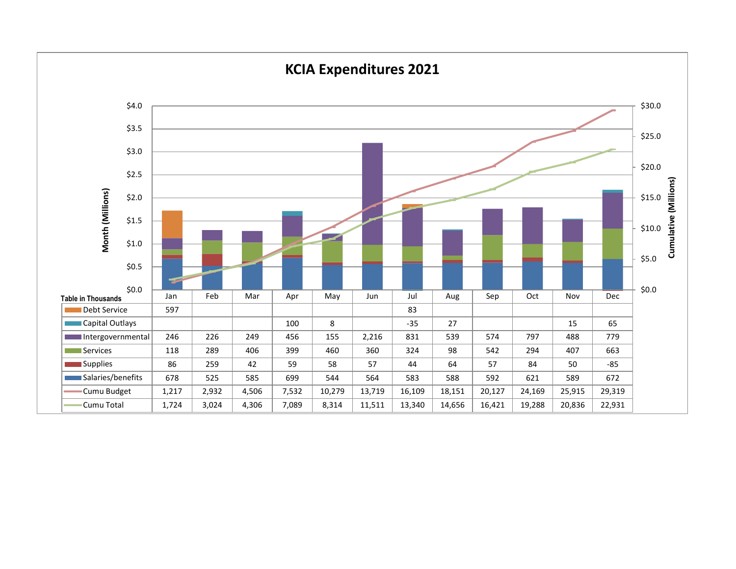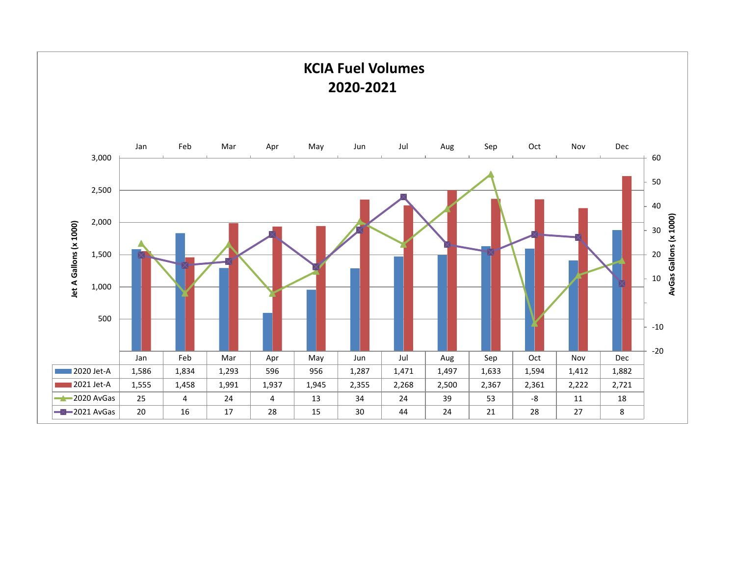